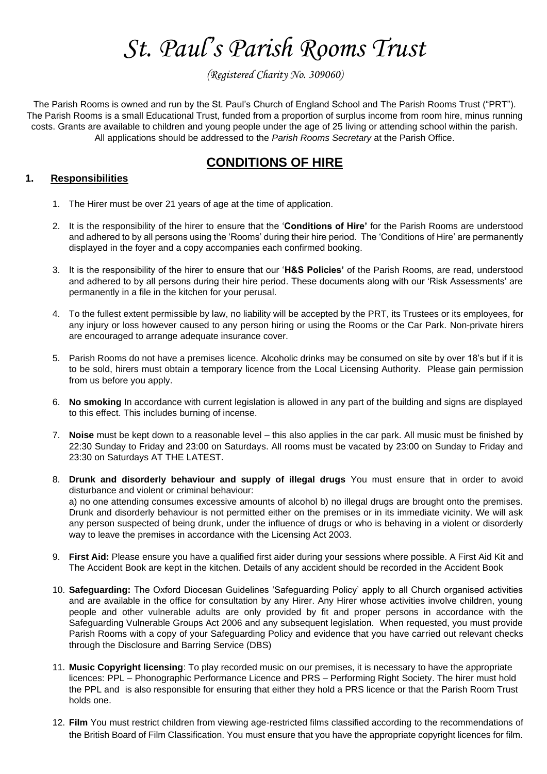# *St. Paul's Parish Rooms Trust*

*(Registered Charity No. 309060)*

The Parish Rooms is owned and run by the St. Paul's Church of England School and The Parish Rooms Trust ("PRT"). The Parish Rooms is a small Educational Trust, funded from a proportion of surplus income from room hire, minus running costs. Grants are available to children and young people under the age of 25 living or attending school within the parish. All applications should be addressed to the *Parish Rooms Secretary* at the Parish Office.

# **CONDITIONS OF HIRE**

# **1. Responsibilities**

- 1. The Hirer must be over 21 years of age at the time of application.
- 2. It is the responsibility of the hirer to ensure that the '**Conditions of Hire'** for the Parish Rooms are understood and adhered to by all persons using the 'Rooms' during their hire period. The 'Conditions of Hire' are permanently displayed in the foyer and a copy accompanies each confirmed booking.
- 3. It is the responsibility of the hirer to ensure that our '**H&S Policies'** of the Parish Rooms, are read, understood and adhered to by all persons during their hire period. These documents along with our 'Risk Assessments' are permanently in a file in the kitchen for your perusal.
- 4. To the fullest extent permissible by law, no liability will be accepted by the PRT, its Trustees or its employees, for any injury or loss however caused to any person hiring or using the Rooms or the Car Park. Non-private hirers are encouraged to arrange adequate insurance cover.
- 5. Parish Rooms do not have a premises licence. Alcoholic drinks may be consumed on site by over 18's but if it is to be sold, hirers must obtain a temporary licence from the Local Licensing Authority. Please gain permission from us before you apply.
- 6. **No smoking** In accordance with current legislation is allowed in any part of the building and signs are displayed to this effect. This includes burning of incense.
- 7. **Noise** must be kept down to a reasonable level this also applies in the car park. All music must be finished by 22:30 Sunday to Friday and 23:00 on Saturdays. All rooms must be vacated by 23:00 on Sunday to Friday and 23:30 on Saturdays AT THE LATEST.
- 8. **Drunk and disorderly behaviour and supply of illegal drugs** You must ensure that in order to avoid disturbance and violent or criminal behaviour:

a) no one attending consumes excessive amounts of alcohol b) no illegal drugs are brought onto the premises. Drunk and disorderly behaviour is not permitted either on the premises or in its immediate vicinity. We will ask any person suspected of being drunk, under the influence of drugs or who is behaving in a violent or disorderly way to leave the premises in accordance with the Licensing Act 2003.

- 9. **First Aid:** Please ensure you have a qualified first aider during your sessions where possible. A First Aid Kit and The Accident Book are kept in the kitchen. Details of any accident should be recorded in the Accident Book
- 10. **Safeguarding:** The Oxford Diocesan Guidelines 'Safeguarding Policy' apply to all Church organised activities and are available in the office for consultation by any Hirer. Any Hirer whose activities involve children, young people and other vulnerable adults are only provided by fit and proper persons in accordance with the Safeguarding Vulnerable Groups Act 2006 and any subsequent legislation. When requested, you must provide Parish Rooms with a copy of your Safeguarding Policy and evidence that you have carried out relevant checks through the Disclosure and Barring Service (DBS)
- 11. **Music Copyright licensing**: To play recorded music on our premises, it is necessary to have the appropriate licences: PPL – Phonographic Performance Licence and PRS – Performing Right Society. The hirer must hold the PPL and is also responsible for ensuring that either they hold a PRS licence or that the Parish Room Trust holds one.
- 12. **Film** You must restrict children from viewing age-restricted films classified according to the recommendations of the British Board of Film Classification. You must ensure that you have the appropriate copyright licences for film.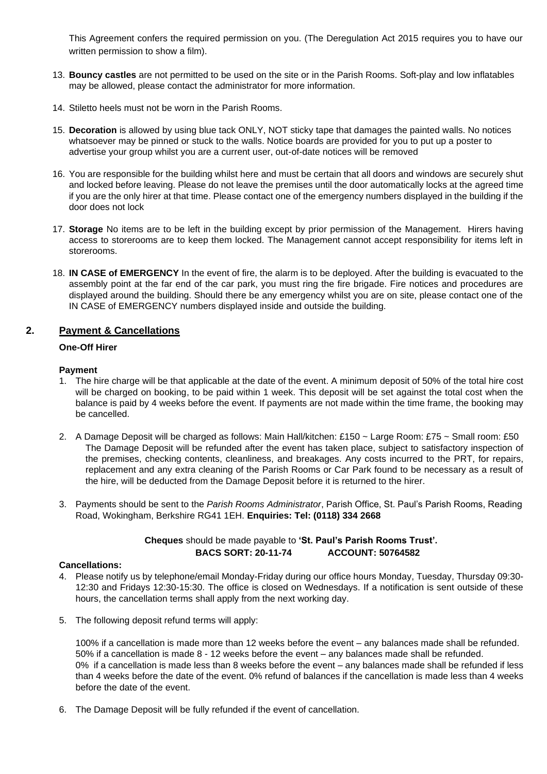This Agreement confers the required permission on you. (The Deregulation Act 2015 requires you to have our written permission to show a film).

- 13. **Bouncy castles** are not permitted to be used on the site or in the Parish Rooms. Soft-play and low inflatables may be allowed, please contact the administrator for more information.
- 14. Stiletto heels must not be worn in the Parish Rooms.
- 15. **Decoration** is allowed by using blue tack ONLY, NOT sticky tape that damages the painted walls. No notices whatsoever may be pinned or stuck to the walls. Notice boards are provided for you to put up a poster to advertise your group whilst you are a current user, out-of-date notices will be removed
- 16. You are responsible for the building whilst here and must be certain that all doors and windows are securely shut and locked before leaving. Please do not leave the premises until the door automatically locks at the agreed time if you are the only hirer at that time. Please contact one of the emergency numbers displayed in the building if the door does not lock
- 17. **Storage** No items are to be left in the building except by prior permission of the Management. Hirers having access to storerooms are to keep them locked. The Management cannot accept responsibility for items left in storerooms.
- 18. **IN CASE of EMERGENCY** In the event of fire, the alarm is to be deployed. After the building is evacuated to the assembly point at the far end of the car park, you must ring the fire brigade. Fire notices and procedures are displayed around the building. Should there be any emergency whilst you are on site, please contact one of the IN CASE of EMERGENCY numbers displayed inside and outside the building.

## **2. Payment & Cancellations**

#### **One-Off Hirer**

#### **Payment**

- 1. The hire charge will be that applicable at the date of the event. A minimum deposit of 50% of the total hire cost will be charged on booking, to be paid within 1 week. This deposit will be set against the total cost when the balance is paid by 4 weeks before the event. If payments are not made within the time frame, the booking may be cancelled.
- 2. A Damage Deposit will be charged as follows: Main Hall/kitchen: £150 ~ Large Room: £75 ~ Small room: £50 The Damage Deposit will be refunded after the event has taken place, subject to satisfactory inspection of the premises, checking contents, cleanliness, and breakages. Any costs incurred to the PRT, for repairs, replacement and any extra cleaning of the Parish Rooms or Car Park found to be necessary as a result of the hire, will be deducted from the Damage Deposit before it is returned to the hirer.
- 3. Payments should be sent to the *Parish Rooms Administrator*, Parish Office, St. Paul's Parish Rooms, Reading Road, Wokingham, Berkshire RG41 1EH. **Enquiries: Tel: (0118) 334 2668**

**Cheques** should be made payable to **'St. Paul's Parish Rooms Trust'. BACS SORT: 20-11-74 ACCOUNT: 50764582**

#### **Cancellations:**

- 4. Please notify us by telephone/email Monday-Friday during our office hours Monday, Tuesday, Thursday 09:30- 12:30 and Fridays 12:30-15:30. The office is closed on Wednesdays. If a notification is sent outside of these hours, the cancellation terms shall apply from the next working day.
- 5. The following deposit refund terms will apply:

100% if a cancellation is made more than 12 weeks before the event – any balances made shall be refunded. 50% if a cancellation is made 8 - 12 weeks before the event – any balances made shall be refunded. 0% if a cancellation is made less than 8 weeks before the event – any balances made shall be refunded if less than 4 weeks before the date of the event. 0% refund of balances if the cancellation is made less than 4 weeks before the date of the event.

6. The Damage Deposit will be fully refunded if the event of cancellation.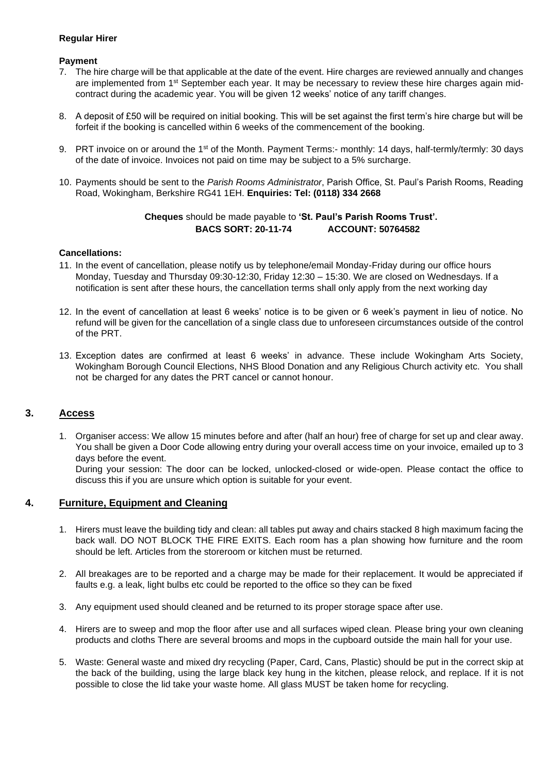## **Regular Hirer**

#### **Payment**

- 7. The hire charge will be that applicable at the date of the event. Hire charges are reviewed annually and changes are implemented from 1<sup>st</sup> September each year. It may be necessary to review these hire charges again midcontract during the academic year. You will be given 12 weeks' notice of any tariff changes.
- 8. A deposit of £50 will be required on initial booking. This will be set against the first term's hire charge but will be forfeit if the booking is cancelled within 6 weeks of the commencement of the booking.
- 9. PRT invoice on or around the 1<sup>st</sup> of the Month. Payment Terms:- monthly: 14 days, half-termly/termly: 30 days of the date of invoice. Invoices not paid on time may be subject to a 5% surcharge.
- 10. Payments should be sent to the *Parish Rooms Administrator*, Parish Office, St. Paul's Parish Rooms, Reading Road, Wokingham, Berkshire RG41 1EH. **Enquiries: Tel: (0118) 334 2668**

# **Cheques** should be made payable to **'St. Paul's Parish Rooms Trust'. BACS SORT: 20-11-74 ACCOUNT: 50764582**

#### **Cancellations:**

- 11. In the event of cancellation, please notify us by telephone/email Monday-Friday during our office hours Monday, Tuesday and Thursday 09:30-12:30, Friday 12:30 – 15:30. We are closed on Wednesdays. If a notification is sent after these hours, the cancellation terms shall only apply from the next working day
- 12. In the event of cancellation at least 6 weeks' notice is to be given or 6 week's payment in lieu of notice. No refund will be given for the cancellation of a single class due to unforeseen circumstances outside of the control of the PRT.
- 13. Exception dates are confirmed at least 6 weeks' in advance. These include Wokingham Arts Society, Wokingham Borough Council Elections, NHS Blood Donation and any Religious Church activity etc. You shall not be charged for any dates the PRT cancel or cannot honour.

# **3. Access**

1. Organiser access: We allow 15 minutes before and after (half an hour) free of charge for set up and clear away. You shall be given a Door Code allowing entry during your overall access time on your invoice, emailed up to 3 days before the event. During your session: The door can be locked, unlocked-closed or wide-open. Please contact the office to

discuss this if you are unsure which option is suitable for your event.

# **4. Furniture, Equipment and Cleaning**

- 1. Hirers must leave the building tidy and clean: all tables put away and chairs stacked 8 high maximum facing the back wall. DO NOT BLOCK THE FIRE EXITS. Each room has a plan showing how furniture and the room should be left. Articles from the storeroom or kitchen must be returned.
- 2. All breakages are to be reported and a charge may be made for their replacement. It would be appreciated if faults e.g. a leak, light bulbs etc could be reported to the office so they can be fixed
- 3. Any equipment used should cleaned and be returned to its proper storage space after use.
- 4. Hirers are to sweep and mop the floor after use and all surfaces wiped clean. Please bring your own cleaning products and cloths There are several brooms and mops in the cupboard outside the main hall for your use.
- 5. Waste: General waste and mixed dry recycling (Paper, Card, Cans, Plastic) should be put in the correct skip at the back of the building, using the large black key hung in the kitchen, please relock, and replace. If it is not possible to close the lid take your waste home. All glass MUST be taken home for recycling.